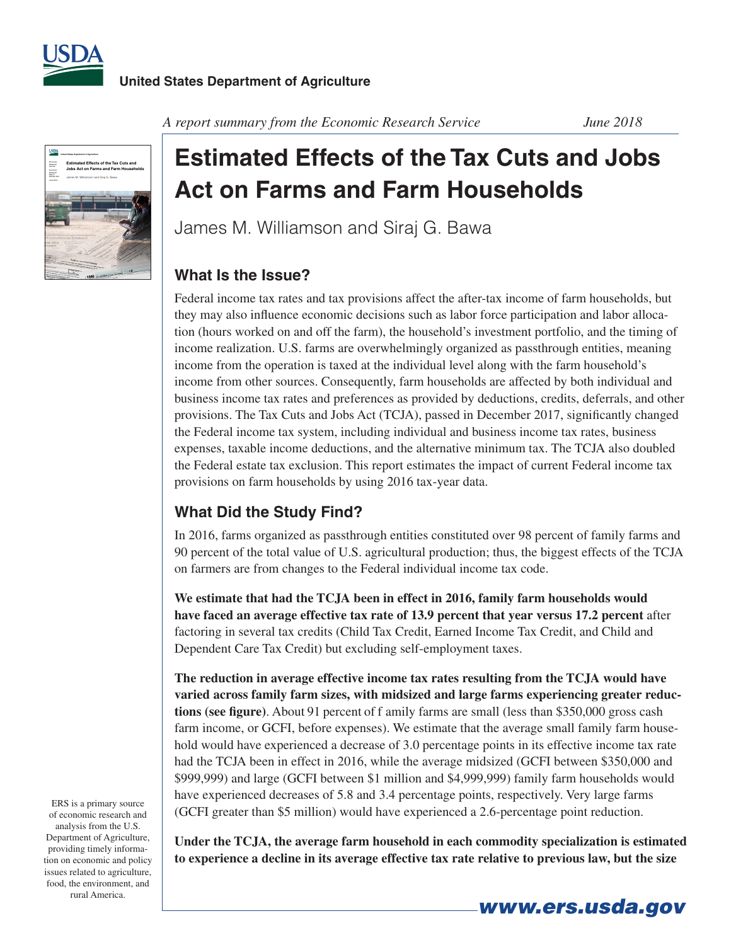



*A report summary from the Economic Research Service June 2018*

# **Estimated Effects of the Tax Cuts and Jobs Act on Farms and Farm Households**

James M. Williamson and Siraj G. Bawa

## **What Is the Issue?**

Federal income tax rates and tax provisions affect the after-tax income of farm households, but they may also influence economic decisions such as labor force participation and labor allocation (hours worked on and off the farm), the household's investment portfolio, and the timing of income realization. U.S. farms are overwhelmingly organized as passthrough entities, meaning income from the operation is taxed at the individual level along with the farm household's income from other sources. Consequently, farm households are affected by both individual and business income tax rates and preferences as provided by deductions, credits, deferrals, and other provisions. The Tax Cuts and Jobs Act (TCJA), passed in December 2017, significantly changed the Federal income tax system, including individual and business income tax rates, business expenses, taxable income deductions, and the alternative minimum tax. The TCJA also doubled the Federal estate tax exclusion. This report estimates the impact of current Federal income tax provisions on farm households by using 2016 tax-year data.

## **What Did the Study Find?**

In 2016, farms organized as passthrough entities constituted over 98 percent of family farms and 90 percent of the total value of U.S. agricultural production; thus, the biggest effects of the TCJA on farmers are from changes to the Federal individual income tax code.

**We estimate that had the TCJA been in effect in 2016, family farm households would have faced an average effective tax rate of 13 .9 percent that year versus 17 .2 percent** after factoring in several tax credits (Child Tax Credit, Earned Income Tax Credit, and Child and Dependent Care Tax Credit) but excluding self-employment taxes.

**The reduction in average effective income tax rates resulting from the TCJA would have varied across family farm sizes, with midsized and large farms experiencing greater reductions (see figure)**. About 91 percent of f amily farms are small (less than \$350,000 gross cash farm income, or GCFI, before expenses). We estimate that the average small family farm household would have experienced a decrease of 3.0 percentage points in its effective income tax rate had the TCJA been in effect in 2016, while the average midsized (GCFI between \$350,000 and \$999,999) and large (GCFI between \$1 million and \$4,999,999) family farm households would have experienced decreases of 5.8 and 3.4 percentage points, respectively. Very large farms (GCFI greater than \$5 million) would have experienced a 2.6-percentage point reduction.

**Under the TCJA, the average farm household in each commodity specialization is estimated to experience a decline in its average effective tax rate relative to previous law, but the size** 

ERS is a primary source of economic research and analysis from the U.S. Department of Agriculture, providing timely information on economic and policy issues related to agriculture, food, the environment, and rural America.